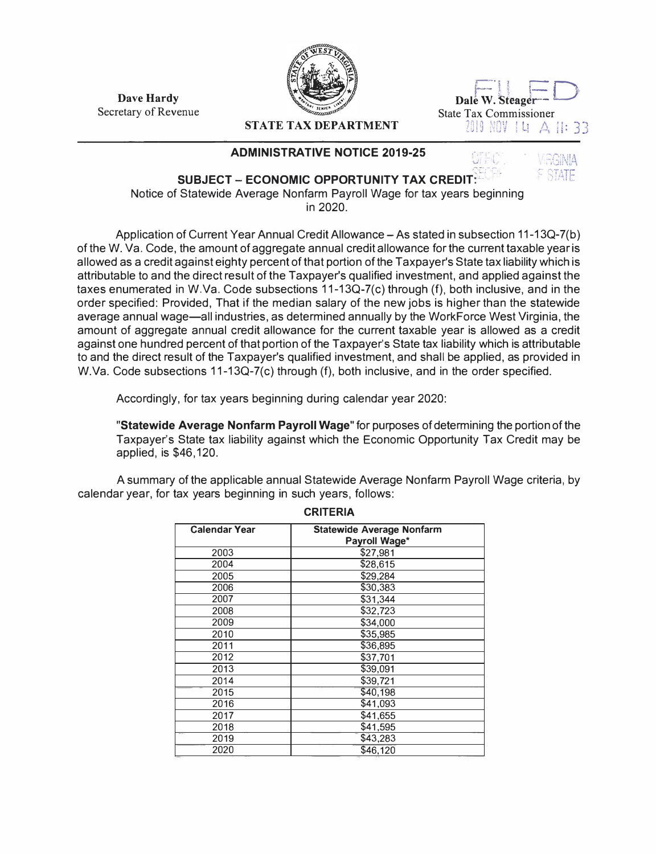**Dave Hardy**  Secretary of Revenue



 $\overline{\mathrm{Dale}}$  w. Steager<sup>---</sup> State Tax Commissioner<br>  $2019 \text{ N0V}$  | Li  $\triangle$  | |: 33

c

## **STATE TAX DEPARTMENT**

## **ADMINISTRATIVE NOTICE 2019-25**



**SUBJECT - ECONOMIC OPPORTUNITY TAX CREDIT:** Notice of Statewide Average Nonfarm Payroll Wage for tax years beginning in 2020.

Application of Current Year Annual Credit Allowance - As stated in subsection 11-13Q-7(b) of the W. Va. Code, the amount of aggregate annual credit allowance for the current taxable year is allowed as a credit against eighty percent of that portion of the Taxpayer's State tax liability which is attributable to and the direct result of the Taxpayer's qualified investment, and applied against the taxes enumerated in W.Va. Code subsections 11-13Q-7(c) through (f), both inclusive, and in the order specified: Provided, That if the median salary of the new jobs is higher than the statewide average annual wage-all industries, as determined annually by the WorkForce West Virginia, the amount of aggregate annual credit allowance for the current taxable year is allowed as a credit against one hundred percent of that portion of the Taxpayer's State tax liability which is attributable to and the direct result of the Taxpayer's qualified investment, and shall be applied, as provided in W.Va. Code subsections 11-13Q-7(c) through (f), both inclusive, and in the order specified.

Accordingly, for tax years beginning during calendar year 2020:

**"Statewide Average Nonfarm Payroll Wage"** for purposes of determining the portion of the Taxpayer's State tax liability against which the Economic Opportunity Tax Credit may be applied, is \$46,120.

A summary of the applicable annual Statewide Average Nonfarm Payroll Wage criteria, by calendar year, for tax years beginning in such years, follows:

| <b>Calendar Year</b> | <b>Statewide Average Nonfarm</b><br>Payroll Wage* |
|----------------------|---------------------------------------------------|
| 2003                 | \$27,981                                          |
| 2004                 | \$28,615                                          |
| 2005                 | \$29,284                                          |
| 2006                 | \$30,383                                          |
| 2007                 | \$31,344                                          |
| 2008                 | \$32,723                                          |
| 2009                 | \$34,000                                          |
| 2010                 | \$35,985                                          |
| 2011                 | \$36,895                                          |
| 2012                 | \$37,701                                          |
| 2013                 | \$39,091                                          |
| 2014                 | \$39,721                                          |
| 2015                 | \$40,198                                          |
| 2016                 | \$41,093                                          |
| 2017                 | \$41,655                                          |
| 2018                 | \$41,595                                          |
| 2019                 | \$43,283                                          |
| 2020                 | \$46,120                                          |

**CRITERIA**